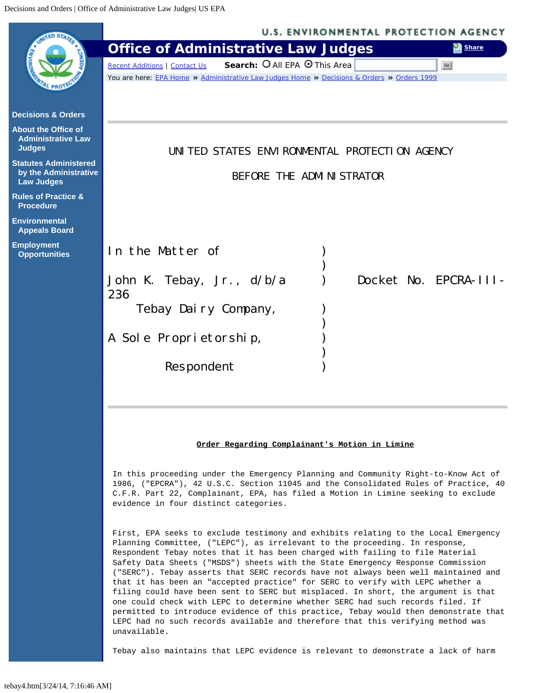<span id="page-0-0"></span>

First, EPA seeks to exclude testimony and exhibits relating to the Local Emergency Planning Committee, ("LEPC"), as irrelevant to the proceeding. In response, Respondent Tebay notes that it has been charged with failing to file Material Safety Data Sheets ("MSDS") sheets with the State Emergency Response Commission ("SERC"). Tebay asserts that SERC records have not always been well maintained and that it has been an "accepted practice" for SERC to verify with LEPC whether a filing could have been sent to SERC but misplaced. In short, the argument is that one could check with LEPC to determine whether SERC had such records filed. If permitted to introduce evidence of this practice, Tebay would then demonstrate that LEPC had no such records available and therefore that this verifying method was unavailable.

Tebay also maintains that LEPC evidence is relevant to demonstrate a lack of harm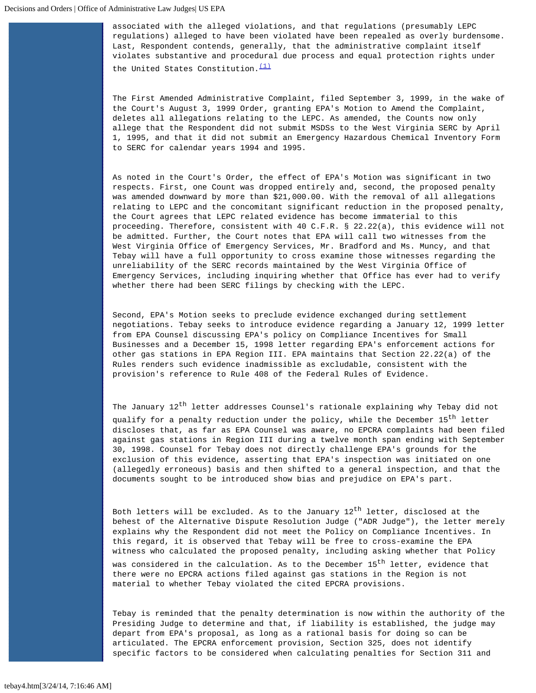associated with the alleged violations, and that regulations (presumably LEPC regulations) alleged to have been violated have been repealed as overly burdensome. Last, Respondent contends, generally, that the administrative complaint itself violates substantive and procedural due process and equal protection rights under the United States Constitution. $\frac{(1)}{1}$  $\frac{(1)}{1}$  $\frac{(1)}{1}$ 

The First Amended Administrative Complaint, filed September 3, 1999, in the wake of the Court's August 3, 1999 Order, granting EPA's Motion to Amend the Complaint, deletes all allegations relating to the LEPC. As amended, the Counts now only allege that the Respondent did not submit MSDSs to the West Virginia SERC by April 1, 1995, and that it did not submit an Emergency Hazardous Chemical Inventory Form to SERC for calendar years 1994 and 1995.

As noted in the Court's Order, the effect of EPA's Motion was significant in two respects. First, one Count was dropped entirely and, second, the proposed penalty was amended downward by more than \$21,000.00. With the removal of all allegations relating to LEPC and the concomitant significant reduction in the proposed penalty, the Court agrees that LEPC related evidence has become immaterial to this proceeding. Therefore, consistent with 40 C.F.R. § 22.22(a), this evidence will not be admitted. Further, the Court notes that EPA will call two witnesses from the West Virginia Office of Emergency Services, Mr. Bradford and Ms. Muncy, and that Tebay will have a full opportunity to cross examine those witnesses regarding the unreliability of the SERC records maintained by the West Virginia Office of Emergency Services, including inquiring whether that Office has ever had to verify whether there had been SERC filings by checking with the LEPC.

Second, EPA's Motion seeks to preclude evidence exchanged during settlement negotiations. Tebay seeks to introduce evidence regarding a January 12, 1999 letter from EPA Counsel discussing EPA's policy on Compliance Incentives for Small Businesses and a December 15, 1998 letter regarding EPA's enforcement actions for other gas stations in EPA Region III. EPA maintains that Section 22.22(a) of the Rules renders such evidence inadmissible as excludable, consistent with the provision's reference to Rule 408 of the Federal Rules of Evidence.

The January  $12^{th}$  letter addresses Counsel's rationale explaining why Tebay did not qualify for a penalty reduction under the policy, while the December  $15^{th}$  letter discloses that, as far as EPA Counsel was aware, no EPCRA complaints had been filed against gas stations in Region III during a twelve month span ending with September 30, 1998. Counsel for Tebay does not directly challenge EPA's grounds for the exclusion of this evidence, asserting that EPA's inspection was initiated on one (allegedly erroneous) basis and then shifted to a general inspection, and that the documents sought to be introduced show bias and prejudice on EPA's part.

Both letters will be excluded. As to the January  $12^{th}$  letter, disclosed at the behest of the Alternative Dispute Resolution Judge ("ADR Judge"), the letter merely explains why the Respondent did not meet the Policy on Compliance Incentives. In this regard, it is observed that Tebay will be free to cross-examine the EPA witness who calculated the proposed penalty, including asking whether that Policy was considered in the calculation. As to the December 15<sup>th</sup> letter, evidence that there were no EPCRA actions filed against gas stations in the Region is not material to whether Tebay violated the cited EPCRA provisions.

Tebay is reminded that the penalty determination is now within the authority of the Presiding Judge to determine and that, if liability is established, the judge may depart from EPA's proposal, as long as a rational basis for doing so can be articulated. The EPCRA enforcement provision, Section 325, does not identify specific factors to be considered when calculating penalties for Section 311 and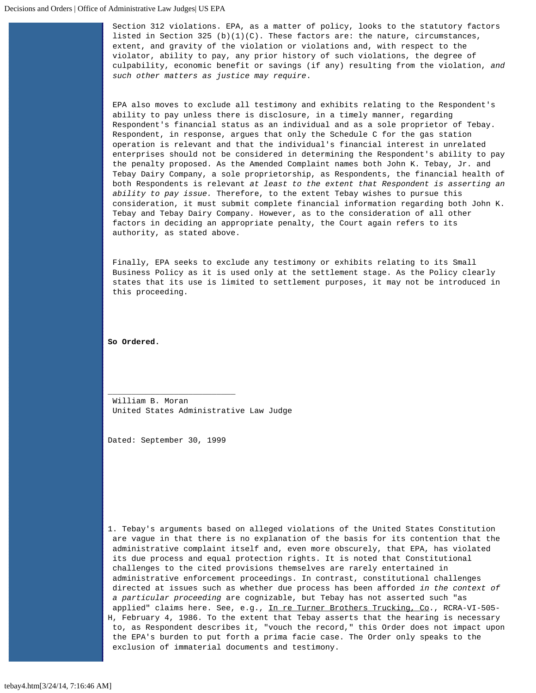Section 312 violations. EPA, as a matter of policy, looks to the statutory factors listed in Section 325 (b)(1)(C). These factors are: the nature, circumstances, extent, and gravity of the violation or violations and, with respect to the violator, ability to pay, any prior history of such violations, the degree of culpability, economic benefit or savings (if any) resulting from the violation, *and such other matters as justice may require*.

EPA also moves to exclude all testimony and exhibits relating to the Respondent's ability to pay unless there is disclosure, in a timely manner, regarding Respondent's financial status as an individual and as a sole proprietor of Tebay. Respondent, in response, argues that only the Schedule C for the gas station operation is relevant and that the individual's financial interest in unrelated enterprises should not be considered in determining the Respondent's ability to pay the penalty proposed. As the Amended Complaint names both John K. Tebay, Jr. and Tebay Dairy Company, a sole proprietorship, as Respondents, the financial health of both Respondents is relevant *at least to the extent that Respondent is asserting an ability to pay issue.* Therefore, to the extent Tebay wishes to pursue this consideration, it must submit complete financial information regarding both John K. Tebay and Tebay Dairy Company. However, as to the consideration of all other factors in deciding an appropriate penalty, the Court again refers to its authority, as stated above.

Finally, EPA seeks to exclude any testimony or exhibits relating to its Small Business Policy as it is used only at the settlement stage. As the Policy clearly states that its use is limited to settlement purposes, it may not be introduced in this proceeding.

**So Ordered.**

\_\_\_\_\_\_\_\_\_\_\_\_\_\_\_\_\_\_\_\_\_\_\_\_\_\_\_ William B. Moran United States Administrative Law Judge

Dated: September 30, 1999

<span id="page-2-0"></span>1. Tebay's arguments based on alleged violations of the United States Constitution are vague in that there is no explanation of the basis for its contention that the administrative complaint itself and, even more obscurely, that EPA, has violated its due process and equal protection rights. It is noted that Constitutional challenges to the cited provisions themselves are rarely entertained in administrative enforcement proceedings. In contrast, constitutional challenges directed at issues such as whether due process has been afforded *in the context of a particular proceeding* are cognizable, but Tebay has not asserted such "as applied" claims here. See, e.g., In re Turner Brothers Trucking, Co., RCRA-VI-505-H, February 4, 1986. To the extent that Tebay asserts that the hearing is necessary to, as Respondent describes it, "vouch the record," this Order does not impact upon the EPA's burden to put forth a prima facie case. The Order only speaks to the exclusion of immaterial documents and testimony.